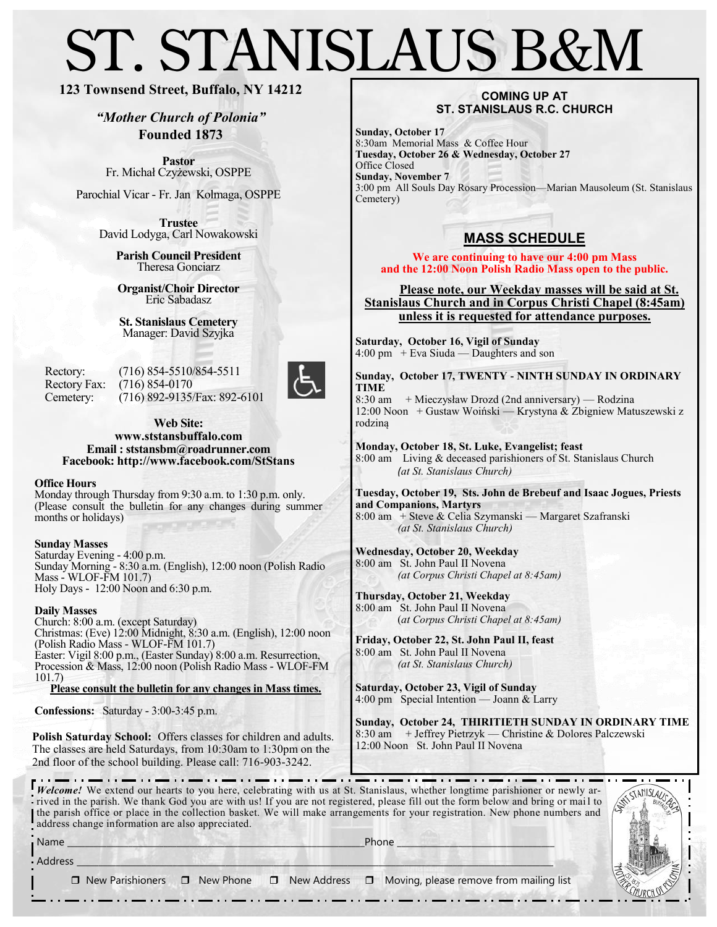# ST. STANISLAUS B&M

## **123 Townsend Street, Buffalo, NY 14212**

*"Mother Church of Polonia"* **Founded 1873**

**Pastor** Fr. Michał Czyżewski, OSPPE

Parochial Vicar - Fr. Jan Kolmaga, OSPPE

**Trustee** David Lodyga, Carl Nowakowski

> **Parish Council President** Theresa Gonciarz

**Organist/Choir Director** Eric Sabadasz

**St. Stanislaus Cemetery** Manager: David Szyjka

Rectory: (716) 854-5510/854-5511 Rectory Fax: (716) 854-0170 Cemetery: (716) 892-9135/Fax: 892-6101



**Web Site: www.ststansbuffalo.com Email : ststansbm@roadrunner.com Facebook: http://www.facebook.com/StStans**

#### **Office Hours**

Monday through Thursday from 9:30 a.m. to 1:30 p.m. only. (Please consult the bulletin for any changes during summer months or holidays)

#### **Sunday Masses**

Saturday Evening - 4:00 p.m. Sunday Morning - 8:30 a.m. (English), 12:00 noon (Polish Radio Mass - WLOF-FM 101.7) Holy Days - 12:00 Noon and 6:30 p.m.

#### **Daily Masses**

Church: 8:00 a.m. (except Saturday) Christmas: (Eve) 12:00 Midnight, 8:30 a.m. (English), 12:00 noon (Polish Radio Mass - WLOF-FM 101.7) Easter: Vigil 8:00 p.m., (Easter Sunday) 8:00 a.m. Resurrection, Procession & Mass, 12:00 noon (Polish Radio Mass - WLOF-FM 101.7)

**Please consult the bulletin for any changes in Mass times.**

**Confessions:** Saturday - 3:00-3:45 p.m.

**Polish Saturday School:** Offers classes for children and adults. The classes are held Saturdays, from 10:30am to 1:30pm on the 2nd floor of the school building. Please call: 716-903-3242.

#### **COMING UP AT ST. STANISLAUS R.C. CHURCH**

**Sunday, October 17** 8:30am Memorial Mass & Coffee Hour **Tuesday, October 26 & Wednesday, October 27** Office Closed **Sunday, November 7** 3:00 pm All Souls Day Rosary Procession—Marian Mausoleum (St. Stanislaus Cemetery)

# **MASS SCHEDULE**

**We are continuing to have our 4:00 pm Mass and the 12:00 Noon Polish Radio Mass open to the public.** 

 **Please note, our Weekday masses will be said at St. Stanislaus Church and in Corpus Christi Chapel (8:45am) unless it is requested for attendance purposes.** 

**Saturday, October 16, Vigil of Sunday** 4:00 pm + Eva Siuda — Daughters and son

**Sunday, October 17, TWENTY - NINTH SUNDAY IN ORDINARY TIME** 8:30 am + Mieczysław Drozd (2nd anniversary) — Rodzina

12:00 Noon + Gustaw Woiński — Krystyna & Zbigniew Matuszewski z rodziną

**Monday, October 18, St. Luke, Evangelist; feast** 8:00 am Living & deceased parishioners of St. Stanislaus Church *(at St. Stanislaus Church)*

**Tuesday, October 19, Sts. John de Brebeuf and Isaac Jogues, Priests and Companions, Martyrs** 8:00 am + Steve & Celia Szymanski — Margaret Szafranski *(at St. Stanislaus Church)*

**Wednesday, October 20, Weekday** 8:00 am St. John Paul II Novena *(at Corpus Christi Chapel at 8:45am)*

**Thursday, October 21, Weekday** 8:00 am St. John Paul II Novena (*at Corpus Christi Chapel at 8:45am)*

**Friday, October 22, St. John Paul II, feast**  8:00 am St. John Paul II Novena *(at St. Stanislaus Church)*

**Saturday, October 23, Vigil of Sunday** 4:00 pm Special Intention — Joann & Larry

**Sunday, October 24, THIRITIETH SUNDAY IN ORDINARY TIME** 8:30 am + Jeffrey Pietrzyk — Christine & Dolores Palczewski 12:00 Noon St. John Paul II Novena

*Welcome!* We extend our hearts to you here, celebrating with us at St. Stanislaus, whether longtime parishioner or newly ar-<br> **Welcome!** We extend our hearts to you here, celebrating with us at St. Stanislaus, whether lon . . . <del>. .</del> . . . ----------------**rived in the parish.** We thank God you are with us! If you are not registered, please fill out the form below and bring or mail to the parish office or place in the collection basket. We will make arrangements for your registration. New phone numbers and address change information are also appreciated.

Name \_\_\_\_\_\_\_\_\_\_\_\_\_\_\_\_\_\_\_\_\_\_\_\_\_\_\_\_\_\_\_\_\_\_\_\_\_\_\_\_\_\_\_\_\_\_\_\_\_\_\_\_\_\_\_\_\_\_\_\_\_\_\_\_\_\_\_\_Phone \_\_\_\_\_\_\_\_\_\_\_\_\_\_\_\_\_\_\_\_\_\_\_\_\_\_\_\_\_\_\_\_\_\_\_\_

|  |  | ATT STAMISLAUS EN<br>UNIA |
|--|--|---------------------------|

 $\operatorname{\mathsf{Address}}\_$ 

 $\Box$  New Parishioners  $\Box$  New Phone  $\Box$  New Address  $\Box$  Moving, please remove from mailing list